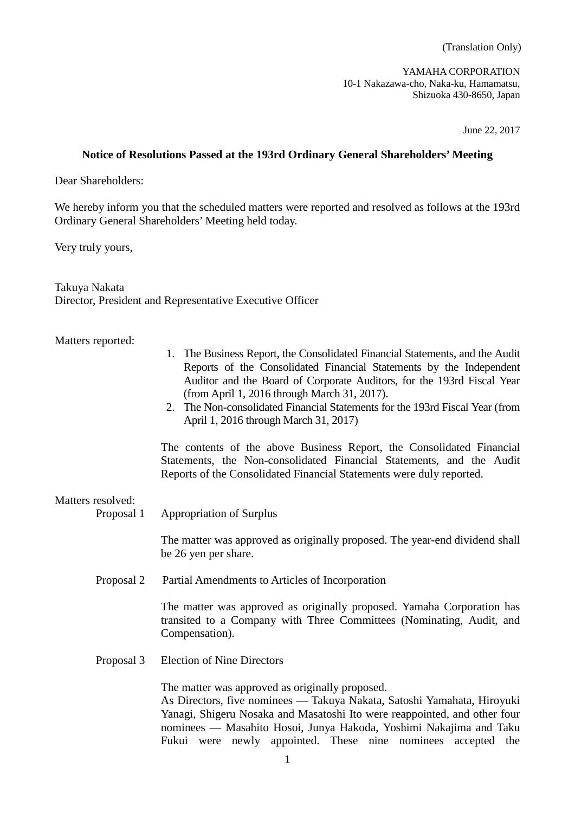YAMAHA CORPORATION 10-1 Nakazawa-cho, Naka-ku, Hamamatsu, Shizuoka 430-8650, Japan

June 22, 2017

## **Notice of Resolutions Passed at the 193rd Ordinary General Shareholders' Meeting**

Dear Shareholders:

We hereby inform you that the scheduled matters were reported and resolved as follows at the 193rd Ordinary General Shareholders' Meeting held today.

Very truly yours,

Takuya Nakata Director, President and Representative Executive Officer

## Matters reported:

- 1. The Business Report, the Consolidated Financial Statements, and the Audit Reports of the Consolidated Financial Statements by the Independent Auditor and the Board of Corporate Auditors, for the 193rd Fiscal Year (from April 1, 2016 through March 31, 2017).
- 2. The Non-consolidated Financial Statements for the 193rd Fiscal Year (from April 1, 2016 through March 31, 2017)

The contents of the above Business Report, the Consolidated Financial Statements, the Non-consolidated Financial Statements, and the Audit Reports of the Consolidated Financial Statements were duly reported.

# Matters resolved:

Proposal 1 Appropriation of Surplus

The matter was approved as originally proposed. The year-end dividend shall be 26 yen per share.

Proposal 2 Partial Amendments to Articles of Incorporation

The matter was approved as originally proposed. Yamaha Corporation has transited to a Company with Three Committees (Nominating, Audit, and Compensation).

Proposal 3 Election of Nine Directors

The matter was approved as originally proposed.

As Directors, five nominees –– Takuya Nakata, Satoshi Yamahata, Hiroyuki Yanagi, Shigeru Nosaka and Masatoshi Ito were reappointed, and other four nominees –– Masahito Hosoi, Junya Hakoda, Yoshimi Nakajima and Taku Fukui were newly appointed. These nine nominees accepted the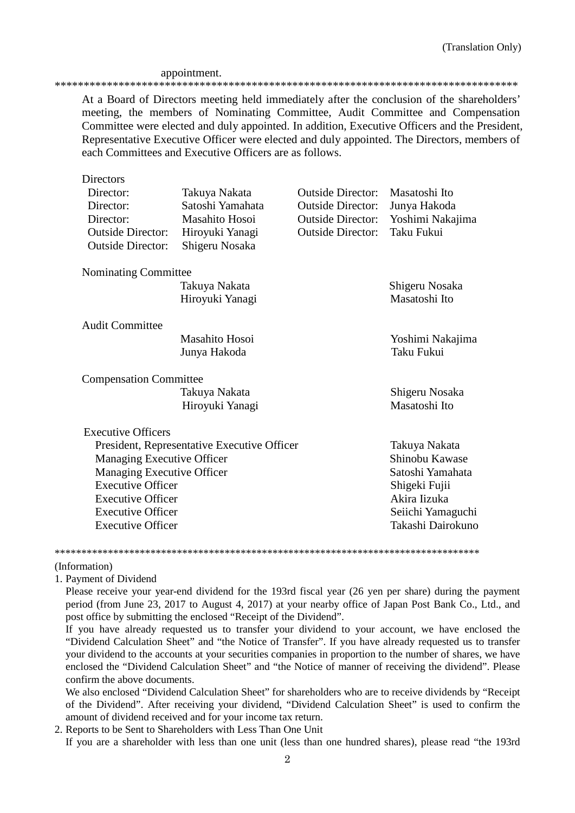## appointment.

\*\*\*\*\*\*\*\*\*\*\*\*\*\*\*\*\*\*\*\*\*\*\*\*\*\*\*\*\*\*\*\*\*\*\*\*\*\*\*\*\*\*\*\*\*\*\*\*\*\*\*\*\*\*\*\*\*\*\*\*\*\*\*\*\*\*\*\*\*\*\*\*\*\*\*\*\*\*\*\*

At a Board of Directors meeting held immediately after the conclusion of the shareholders' meeting, the members of Nominating Committee, Audit Committee and Compensation Committee were elected and duly appointed. In addition, Executive Officers and the President, Representative Executive Officer were elected and duly appointed. The Directors, members of each Committees and Executive Officers are as follows.

| <b>Directors</b>                            |                  |                          |                   |  |
|---------------------------------------------|------------------|--------------------------|-------------------|--|
| Director:                                   | Takuya Nakata    | <b>Outside Director:</b> | Masatoshi Ito     |  |
| Director:                                   | Satoshi Yamahata | <b>Outside Director:</b> | Junya Hakoda      |  |
| Director:                                   | Masahito Hosoi   | <b>Outside Director:</b> | Yoshimi Nakajima  |  |
| <b>Outside Director:</b>                    | Hiroyuki Yanagi  | <b>Outside Director:</b> | Taku Fukui        |  |
| <b>Outside Director:</b>                    | Shigeru Nosaka   |                          |                   |  |
| Nominating Committee                        |                  |                          |                   |  |
|                                             | Takuya Nakata    |                          | Shigeru Nosaka    |  |
|                                             | Hiroyuki Yanagi  |                          | Masatoshi Ito     |  |
| <b>Audit Committee</b>                      |                  |                          |                   |  |
|                                             | Masahito Hosoi   |                          | Yoshimi Nakajima  |  |
|                                             | Junya Hakoda     |                          | Taku Fukui        |  |
| <b>Compensation Committee</b>               |                  |                          |                   |  |
|                                             | Takuya Nakata    |                          | Shigeru Nosaka    |  |
|                                             | Hiroyuki Yanagi  |                          | Masatoshi Ito     |  |
| <b>Executive Officers</b>                   |                  |                          |                   |  |
| President, Representative Executive Officer |                  |                          | Takuya Nakata     |  |
| <b>Managing Executive Officer</b>           |                  |                          | Shinobu Kawase    |  |
| <b>Managing Executive Officer</b>           | Satoshi Yamahata |                          |                   |  |
| <b>Executive Officer</b>                    |                  |                          | Shigeki Fujii     |  |
| <b>Executive Officer</b>                    |                  |                          | Akira Iizuka      |  |
| <b>Executive Officer</b>                    |                  |                          | Seiichi Yamaguchi |  |
| <b>Executive Officer</b>                    |                  |                          | Takashi Dairokuno |  |
|                                             |                  |                          |                   |  |

\*\*\*\*\*\*\*\*\*\*\*\*\*\*\*\*\*\*\*\*\*\*\*\*\*\*\*\*\*\*\*\*\*\*\*\*\*\*\*\*\*\*\*\*\*\*\*\*\*\*\*\*\*\*\*\*\*\*\*\*\*\*\*\*\*\*\*\*\*\*\*\*\*\*\*\*\*\*\*\*

#### (Information)

1. Payment of Dividend

Please receive your year-end dividend for the 193rd fiscal year (26 yen per share) during the payment period (from June 23, 2017 to August 4, 2017) at your nearby office of Japan Post Bank Co., Ltd., and post office by submitting the enclosed "Receipt of the Dividend".

If you have already requested us to transfer your dividend to your account, we have enclosed the "Dividend Calculation Sheet" and "the Notice of Transfer". If you have already requested us to transfer your dividend to the accounts at your securities companies in proportion to the number of shares, we have enclosed the "Dividend Calculation Sheet" and "the Notice of manner of receiving the dividend". Please confirm the above documents.

We also enclosed "Dividend Calculation Sheet" for shareholders who are to receive dividends by "Receipt of the Dividend". After receiving your dividend, "Dividend Calculation Sheet" is used to confirm the amount of dividend received and for your income tax return.

2. Reports to be Sent to Shareholders with Less Than One Unit If you are a shareholder with less than one unit (less than one hundred shares), please read "the 193rd